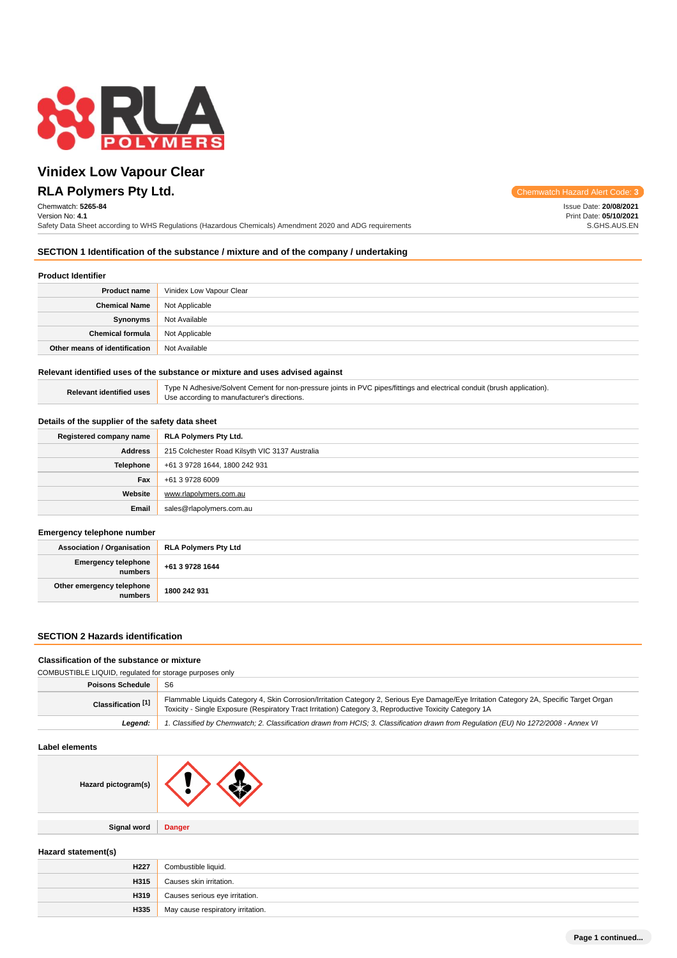

**RLA Polymers Pty Ltd.** Chemwatch Hazard Alert Code: 3

Chemwatch: **5265-84** Version No: **4.1**

Safety Data Sheet according to WHS Regulations (Hazardous Chemicals) Amendment 2020 and ADG requirements

Issue Date: **20/08/2021** Print Date: **05/10/2021** S.GHS.AUS.EN

### **SECTION 1 Identification of the substance / mixture and of the company / undertaking**

### **Product Identifier**

| <b>Product name</b>           | Vinidex Low Vapour Clear |
|-------------------------------|--------------------------|
| <b>Chemical Name</b>          | Not Applicable           |
| Synonyms                      | Not Available            |
| <b>Chemical formula</b>       | Not Applicable           |
| Other means of identification | Not Available            |

### **Relevant identified uses of the substance or mixture and uses advised against**

| Type N Adhesive/Solvent Cement for non-pressure joints in PVC pipes/fittings and electrical conduit (brush application). |  |
|--------------------------------------------------------------------------------------------------------------------------|--|
| Use according to manufacturer's directions.                                                                              |  |

### **Details of the supplier of the safety data sheet**

**Relevant identified uses** 

| Registered company name                           | RLA Polymers Pty Ltd.                          |  |
|---------------------------------------------------|------------------------------------------------|--|
| <b>Address</b>                                    | 215 Colchester Road Kilsyth VIC 3137 Australia |  |
| <b>Telephone</b><br>+61 3 9728 1644, 1800 242 931 |                                                |  |
| Fax                                               | +61 3 9728 6009                                |  |
| Website<br>www.rlapolymers.com.au                 |                                                |  |
| Email                                             | sales@rlapolymers.com.au                       |  |

#### **Emergency telephone number**

| Association / Organisation           | <b>RLA Polymers Pty Ltd</b> |
|--------------------------------------|-----------------------------|
| Emergency telephone +61 3 9728 1644  |                             |
| Other emergency telephone<br>numbers | 1800 242 931                |

### **SECTION 2 Hazards identification**

#### **Classification of the substance or mixture**

| COMBUSTIBLE LIQUID, regulated for storage purposes only |                                                                                                                                                                                                                                                     |  |
|---------------------------------------------------------|-----------------------------------------------------------------------------------------------------------------------------------------------------------------------------------------------------------------------------------------------------|--|
| <b>Poisons Schedule</b>                                 | S <sub>6</sub>                                                                                                                                                                                                                                      |  |
| Classification <sup>[1]</sup>                           | Flammable Liquids Category 4, Skin Corrosion/Irritation Category 2, Serious Eye Damage/Eye Irritation Category 2A, Specific Target Organ<br>Toxicity - Single Exposure (Respiratory Tract Irritation) Category 3, Reproductive Toxicity Category 1A |  |
| Leaend:                                                 | 1. Classified by Chemwatch; 2. Classification drawn from HCIS; 3. Classification drawn from Regulation (EU) No 1272/2008 - Annex VI                                                                                                                 |  |
|                                                         |                                                                                                                                                                                                                                                     |  |

### **Label elements**

| Hazard pictogram(s) |               |
|---------------------|---------------|
|                     |               |
| Signal word         | <b>Danger</b> |

| Hazard statement(s) |                                   |
|---------------------|-----------------------------------|
| H <sub>227</sub>    | Combustible liquid.               |
| H315                | Causes skin irritation.           |
| H319                | Causes serious eye irritation.    |
| H335                | May cause respiratory irritation. |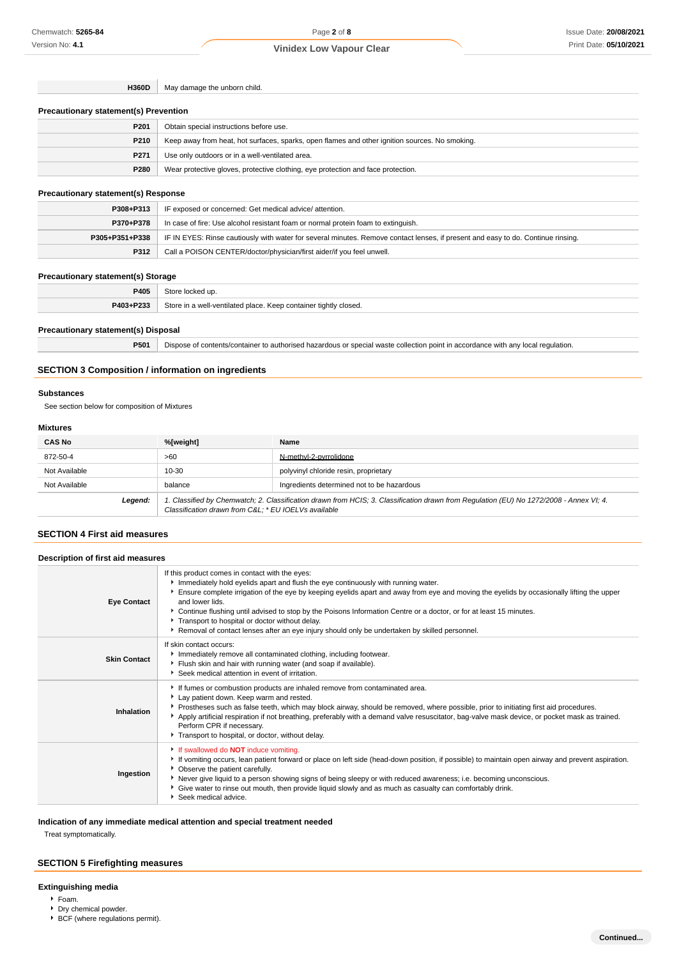**H360D** May damage the unborn child.

#### **Precautionary statement(s) Prevention**

| P <sub>201</sub> | Obtain special instructions before use.                                                        |  |
|------------------|------------------------------------------------------------------------------------------------|--|
| P210             | Keep away from heat, hot surfaces, sparks, open flames and other ignition sources. No smoking. |  |
| P271             | Use only outdoors or in a well-ventilated area.                                                |  |
| P280             | Wear protective gloves, protective clothing, eye protection and face protection.               |  |

### **Precautionary statement(s) Response**

| P308+P313      | IF exposed or concerned: Get medical advice/attention.                                                                           |  |
|----------------|----------------------------------------------------------------------------------------------------------------------------------|--|
| P370+P378      | In case of fire: Use alcohol resistant foam or normal protein foam to extinguish.                                                |  |
| P305+P351+P338 | IF IN EYES: Rinse cautiously with water for several minutes. Remove contact lenses, if present and easy to do. Continue rinsing. |  |
| P312           | Call a POISON CENTER/doctor/physician/first aider/if you feel unwell.                                                            |  |

### **Precautionary statement(s) Storage**

| P405      | ⊇t∩re<br>: locked up.                                            |
|-----------|------------------------------------------------------------------|
| P403+P233 | Store in a well-ventilated place. Keep container tightly closed. |
|           |                                                                  |

### **Precautionary statement(s) Disposal**

**P501** Dispose of contents/container to authorised hazardous or special waste collection point in accordance with any local regulation.

### **SECTION 3 Composition / information on ingredients**

### **Substances**

See section below for composition of Mixtures

### **Mixtures**

| <b>CAS No</b> | %[weight]                                           | Name                                                                                                                                    |
|---------------|-----------------------------------------------------|-----------------------------------------------------------------------------------------------------------------------------------------|
| 872-50-4      | >60                                                 | N-methyl-2-pyrrolidone                                                                                                                  |
| Not Available | $10 - 30$                                           | polyvinyl chloride resin, proprietary                                                                                                   |
| Not Available | balance                                             | Ingredients determined not to be hazardous                                                                                              |
| Legend:       | Classification drawn from C&L * EU IOELVs available | 1. Classified by Chemwatch; 2. Classification drawn from HCIS; 3. Classification drawn from Regulation (EU) No 1272/2008 - Annex VI; 4. |

### **SECTION 4 First aid measures**

| Description of first aid measures |                                                                                                                                                                                                                                                                                                                                                                                                                                                                                                                                                                                 |  |
|-----------------------------------|---------------------------------------------------------------------------------------------------------------------------------------------------------------------------------------------------------------------------------------------------------------------------------------------------------------------------------------------------------------------------------------------------------------------------------------------------------------------------------------------------------------------------------------------------------------------------------|--|
| <b>Eye Contact</b>                | If this product comes in contact with the eyes:<br>Immediately hold eyelids apart and flush the eye continuously with running water.<br>Ensure complete irrigation of the eye by keeping eyelids apart and away from eye and moving the eyelids by occasionally lifting the upper<br>and lower lids.<br>▶ Continue flushing until advised to stop by the Poisons Information Centre or a doctor, or for at least 15 minutes.<br>Transport to hospital or doctor without delay.<br>Removal of contact lenses after an eye injury should only be undertaken by skilled personnel. |  |
| <b>Skin Contact</b>               | If skin contact occurs:<br>Immediately remove all contaminated clothing, including footwear.<br>Flush skin and hair with running water (and soap if available).<br>Seek medical attention in event of irritation.                                                                                                                                                                                                                                                                                                                                                               |  |
| Inhalation                        | If fumes or combustion products are inhaled remove from contaminated area.<br>Lay patient down. Keep warm and rested.<br>Prostheses such as false teeth, which may block airway, should be removed, where possible, prior to initiating first aid procedures.<br>Apply artificial respiration if not breathing, preferably with a demand valve resuscitator, bag-valve mask device, or pocket mask as trained.<br>Perform CPR if necessary.<br>Transport to hospital, or doctor, without delay.                                                                                 |  |
| Ingestion                         | If swallowed do <b>NOT</b> induce vomiting.<br>If vomiting occurs, lean patient forward or place on left side (head-down position, if possible) to maintain open airway and prevent aspiration.<br>• Observe the patient carefully.<br>▶ Never give liquid to a person showing signs of being sleepy or with reduced awareness; i.e. becoming unconscious.<br>• Give water to rinse out mouth, then provide liquid slowly and as much as casualty can comfortably drink.<br>Seek medical advice.                                                                                |  |

### **Indication of any immediate medical attention and special treatment needed**

Treat symptomatically.

### **SECTION 5 Firefighting measures**

### **Extinguishing media**

- Foam.
- **Dry chemical powder.**
- ▶ BCF (where regulations permit).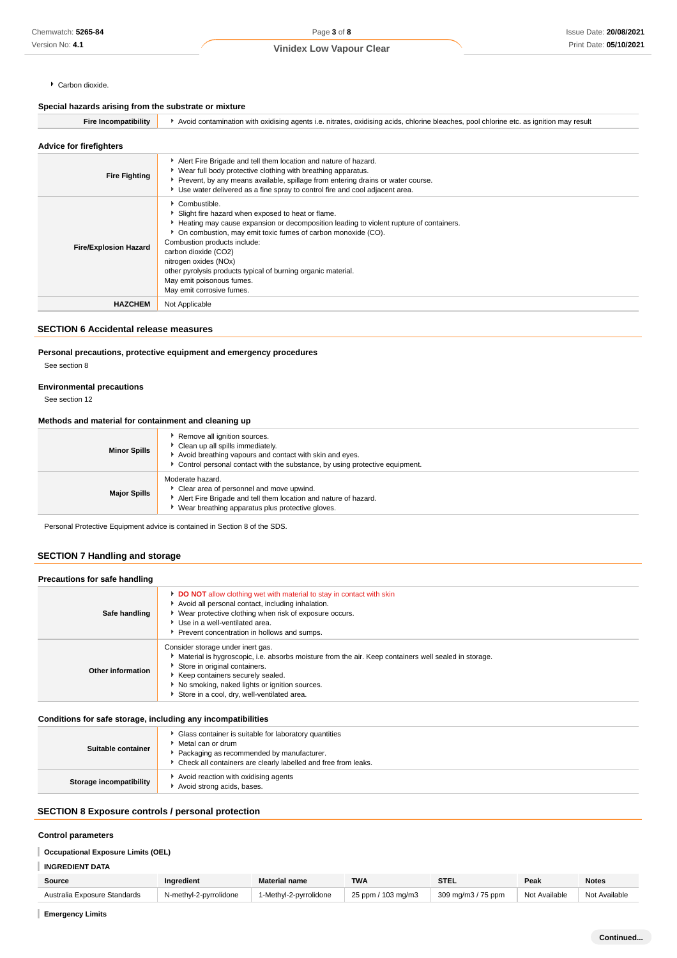#### Carbon dioxide.

### **Special hazards arising from the substrate or mixture**

| <b>Fire Incompatibility</b>    | Avoid contamination with oxidising agents i.e. nitrates, oxidising acids, chlorine bleaches, pool chlorine etc. as ignition may result                                                                                                                                                                                                                                                                                                    |
|--------------------------------|-------------------------------------------------------------------------------------------------------------------------------------------------------------------------------------------------------------------------------------------------------------------------------------------------------------------------------------------------------------------------------------------------------------------------------------------|
| <b>Advice for firefighters</b> |                                                                                                                                                                                                                                                                                                                                                                                                                                           |
| <b>Fire Fighting</b>           | Alert Fire Brigade and tell them location and nature of hazard.<br>▶ Wear full body protective clothing with breathing apparatus.<br>▶ Prevent, by any means available, spillage from entering drains or water course.<br>► Use water delivered as a fine spray to control fire and cool adjacent area.                                                                                                                                   |
| <b>Fire/Explosion Hazard</b>   | Combustible.<br>Slight fire hazard when exposed to heat or flame.<br>Heating may cause expansion or decomposition leading to violent rupture of containers.<br>• On combustion, may emit toxic fumes of carbon monoxide (CO).<br>Combustion products include:<br>carbon dioxide (CO2)<br>nitrogen oxides (NOx)<br>other pyrolysis products typical of burning organic material.<br>May emit poisonous fumes.<br>May emit corrosive fumes. |
| <b>HAZCHEM</b>                 | Not Applicable                                                                                                                                                                                                                                                                                                                                                                                                                            |

### **SECTION 6 Accidental release measures**

### **Personal precautions, protective equipment and emergency procedures**

See section 8

### **Environmental precautions**

See section 12

### **Methods and material for containment and cleaning up**

| <b>Minor Spills</b> | Remove all ignition sources.<br>Clean up all spills immediately.<br>Avoid breathing vapours and contact with skin and eyes.<br>Control personal contact with the substance, by using protective equipment. |
|---------------------|------------------------------------------------------------------------------------------------------------------------------------------------------------------------------------------------------------|
| <b>Major Spills</b> | Moderate hazard.<br>Clear area of personnel and move upwind.<br>Alert Fire Brigade and tell them location and nature of hazard.<br>Wear breathing apparatus plus protective gloves.                        |

Personal Protective Equipment advice is contained in Section 8 of the SDS.

### **SECTION 7 Handling and storage**

| Precautions for safe handling |                                                                                                                                                                                                                                                                                                                |
|-------------------------------|----------------------------------------------------------------------------------------------------------------------------------------------------------------------------------------------------------------------------------------------------------------------------------------------------------------|
| Safe handling                 | <b>DO NOT</b> allow clothing wet with material to stay in contact with skin<br>Avoid all personal contact, including inhalation.<br>▶ Wear protective clothing when risk of exposure occurs.<br>▶ Use in a well-ventilated area.<br>Prevent concentration in hollows and sumps.                                |
| Other information             | Consider storage under inert gas.<br>Material is hygroscopic, i.e. absorbs moisture from the air. Keep containers well sealed in storage.<br>Store in original containers.<br>Keep containers securely sealed.<br>No smoking, naked lights or ignition sources.<br>Store in a cool, dry, well-ventilated area. |

### **Conditions for safe storage, including any incompatibilities**

| Suitable container      | Glass container is suitable for laboratory quantities<br>Metal can or drum<br>Packaging as recommended by manufacturer.<br>• Check all containers are clearly labelled and free from leaks. |
|-------------------------|---------------------------------------------------------------------------------------------------------------------------------------------------------------------------------------------|
| Storage incompatibility | Avoid reaction with oxidising agents<br>Avoid strong acids, bases.                                                                                                                          |

### **SECTION 8 Exposure controls / personal protection**

### **Control parameters**

### **Occupational Exposure Limits (OEL)**

### **INGREDIENT DATA**

| Source                       | <b>Ingredient</b>      | <b>Material name</b>   | <b>TWA</b>         | STEL               | Peak          | <b>Notes</b>  |
|------------------------------|------------------------|------------------------|--------------------|--------------------|---------------|---------------|
| Australia Exposure Standards | N-methyl-2-pyrrolidone | 1-Methvl-2-pvrrolidone | 25 ppm / 103 mg/m3 | 309 mg/m3 / 75 ppm | Not Available | Not Available |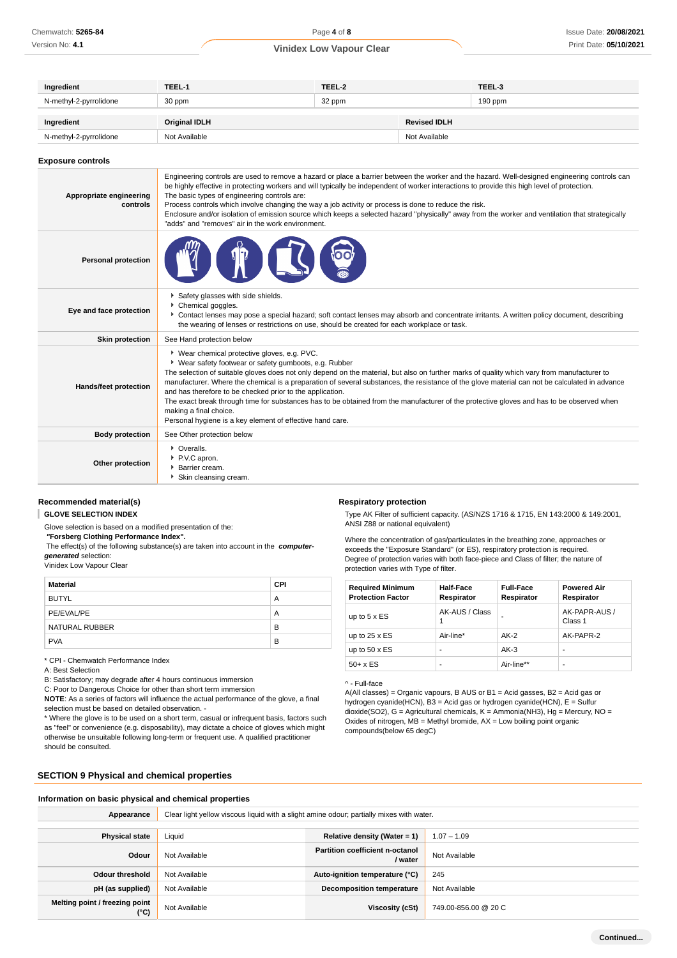| Ingredient             | TEEL-1               | TEEL-2 |                     | TEEL-3    |
|------------------------|----------------------|--------|---------------------|-----------|
| N-methyl-2-pyrrolidone | 30 ppm               | 32 ppm |                     | $190$ ppm |
| Ingredient             | <b>Original IDLH</b> |        | <b>Revised IDLH</b> |           |
| N-methyl-2-pyrrolidone | Not Available        |        | Not Available       |           |

#### **Exposure controls**

| Appropriate engineering<br>controls | Engineering controls are used to remove a hazard or place a barrier between the worker and the hazard. Well-designed engineering controls can<br>be highly effective in protecting workers and will typically be independent of worker interactions to provide this high level of protection.<br>The basic types of engineering controls are:<br>Process controls which involve changing the way a job activity or process is done to reduce the risk.<br>Enclosure and/or isolation of emission source which keeps a selected hazard "physically" away from the worker and ventilation that strategically<br>"adds" and "removes" air in the work environment.                                          |  |  |  |  |
|-------------------------------------|----------------------------------------------------------------------------------------------------------------------------------------------------------------------------------------------------------------------------------------------------------------------------------------------------------------------------------------------------------------------------------------------------------------------------------------------------------------------------------------------------------------------------------------------------------------------------------------------------------------------------------------------------------------------------------------------------------|--|--|--|--|
| <b>Personal protection</b>          |                                                                                                                                                                                                                                                                                                                                                                                                                                                                                                                                                                                                                                                                                                          |  |  |  |  |
| Eye and face protection             | Safety glasses with side shields.<br>Chemical goggles.<br>▶ Contact lenses may pose a special hazard; soft contact lenses may absorb and concentrate irritants. A written policy document, describing<br>the wearing of lenses or restrictions on use, should be created for each workplace or task.                                                                                                                                                                                                                                                                                                                                                                                                     |  |  |  |  |
| <b>Skin protection</b>              | See Hand protection below                                                                                                                                                                                                                                                                                                                                                                                                                                                                                                                                                                                                                                                                                |  |  |  |  |
| Hands/feet protection               | * Wear chemical protective gloves, e.g. PVC.<br>• Wear safety footwear or safety gumboots, e.g. Rubber<br>The selection of suitable gloves does not only depend on the material, but also on further marks of quality which vary from manufacturer to<br>manufacturer. Where the chemical is a preparation of several substances, the resistance of the glove material can not be calculated in advance<br>and has therefore to be checked prior to the application.<br>The exact break through time for substances has to be obtained from the manufacturer of the protective gloves and has to be observed when<br>making a final choice.<br>Personal hygiene is a key element of effective hand care. |  |  |  |  |
| <b>Body protection</b>              | See Other protection below                                                                                                                                                                                                                                                                                                                                                                                                                                                                                                                                                                                                                                                                               |  |  |  |  |
| Other protection                    | • Overalls.<br>P.V.C apron.<br>▶ Barrier cream.<br>Skin cleansing cream.                                                                                                                                                                                                                                                                                                                                                                                                                                                                                                                                                                                                                                 |  |  |  |  |

#### **Recommended material(s)**

**GLOVE SELECTION INDEX**

Glove selection is based on a modified presentation of the:

 **"Forsberg Clothing Performance Index".**

 The effect(s) of the following substance(s) are taken into account in the **computergenerated** selection:

Vinidex Low Vapour Clear

| Material       | <b>CPI</b> |
|----------------|------------|
| BUTYL          | Α          |
| PE/EVAL/PE     | Α          |
| NATURAL RUBBER | в          |
| <b>PVA</b>     | B          |

\* CPI - Chemwatch Performance Index

A: Best Selection

B: Satisfactory; may degrade after 4 hours continuous immersion

C: Poor to Dangerous Choice for other than short term immersion

**NOTE**: As a series of factors will influence the actual performance of the glove, a final selection must be based on detailed observation. -

\* Where the glove is to be used on a short term, casual or infrequent basis, factors such as "feel" or convenience (e.g. disposability), may dictate a choice of gloves which might otherwise be unsuitable following long-term or frequent use. A qualified practitioner should be consulted.

**Respiratory protection**

Type AK Filter of sufficient capacity. (AS/NZS 1716 & 1715, EN 143:2000 & 149:2001, ANSI Z88 or national equivalent)

Where the concentration of gas/particulates in the breathing zone, approaches or exceeds the "Exposure Standard" (or ES), respiratory protection is required. Degree of protection varies with both face-piece and Class of filter; the nature of protection varies with Type of filter.

| <b>Required Minimum</b><br><b>Protection Factor</b> | <b>Half-Face</b><br>Respirator | <b>Full-Face</b><br>Respirator | <b>Powered Air</b><br>Respirator |
|-----------------------------------------------------|--------------------------------|--------------------------------|----------------------------------|
| up to $5 \times ES$                                 | AK-AUS / Class                 |                                | AK-PAPR-AUS /<br>Class 1         |
| up to $25 \times ES$                                | Air-line*                      | $AK-2$                         | AK-PAPR-2                        |
| up to $50 \times ES$                                |                                | $AK-3$                         | -                                |
| $50+ x ES$                                          | -                              | Air-line**                     | ۰                                |

#### ^ - Full-face

A(All classes) = Organic vapours, B AUS or B1 = Acid gasses, B2 = Acid gas or hydrogen cyanide(HCN), B3 = Acid gas or hydrogen cyanide(HCN), E = Sulfur dioxide(SO2), G = Agricultural chemicals, K = Ammonia(NH3), Hg = Mercury, NO = Oxides of nitrogen,  $MB =$  Methyl bromide,  $AX =$  Low boiling point organic compounds(below 65 degC)

### **SECTION 9 Physical and chemical properties**

|  |  | Information on basic physical and chemical properties |  |  |
|--|--|-------------------------------------------------------|--|--|
|--|--|-------------------------------------------------------|--|--|

| Appearance                                      | Clear light yellow viscous liguid with a slight amine odour; partially mixes with water. |                                                   |                      |  |  |
|-------------------------------------------------|------------------------------------------------------------------------------------------|---------------------------------------------------|----------------------|--|--|
|                                                 |                                                                                          |                                                   |                      |  |  |
| <b>Physical state</b>                           | Liquid                                                                                   | Relative density (Water = $1$ )                   | $1.07 - 1.09$        |  |  |
| Odour                                           | Not Available                                                                            | <b>Partition coefficient n-octanol</b><br>/ water | Not Available        |  |  |
| <b>Odour threshold</b>                          | Not Available                                                                            | Auto-ignition temperature (°C)                    | 245                  |  |  |
| pH (as supplied)                                | Not Available                                                                            | <b>Decomposition temperature</b>                  | Not Available        |  |  |
| Melting point / freezing point<br>$(^{\circ}C)$ | Not Available                                                                            | Viscosity (cSt)                                   | 749.00-856.00 @ 20 C |  |  |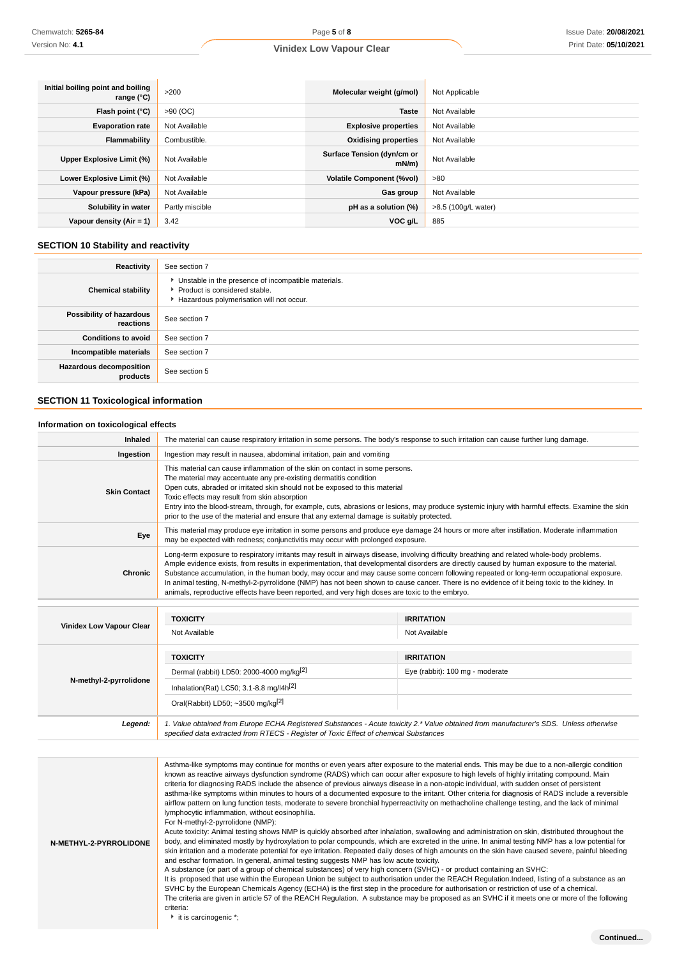| Initial boiling point and boiling<br>range $(°C)$ | >200            | Molecular weight (g/mol)               | Not Applicable      |
|---------------------------------------------------|-----------------|----------------------------------------|---------------------|
| Flash point (°C)                                  | $>90$ (OC)      | <b>Taste</b>                           | Not Available       |
| <b>Evaporation rate</b>                           | Not Available   | <b>Explosive properties</b>            | Not Available       |
| Flammability                                      | Combustible.    | <b>Oxidising properties</b>            | Not Available       |
| Upper Explosive Limit (%)                         | Not Available   | Surface Tension (dyn/cm or<br>$mN/m$ ) | Not Available       |
| Lower Explosive Limit (%)                         | Not Available   | <b>Volatile Component (%vol)</b>       | >80                 |
| Vapour pressure (kPa)                             | Not Available   | Gas group                              | Not Available       |
| Solubility in water                               | Partly miscible | pH as a solution (%)                   | >8.5 (100g/L water) |
| Vapour density $(Air = 1)$                        | 3.42            | VOC g/L                                | 885                 |

### **SECTION 10 Stability and reactivity**

| Reactivity                                 | See section 7                                                                                                                      |
|--------------------------------------------|------------------------------------------------------------------------------------------------------------------------------------|
| <b>Chemical stability</b>                  | • Unstable in the presence of incompatible materials.<br>Product is considered stable.<br>Hazardous polymerisation will not occur. |
| Possibility of hazardous<br>reactions      | See section 7                                                                                                                      |
| <b>Conditions to avoid</b>                 | See section 7                                                                                                                      |
| Incompatible materials                     | See section 7                                                                                                                      |
| <b>Hazardous decomposition</b><br>products | See section 5                                                                                                                      |

### **SECTION 11 Toxicological information**

### **Information on toxicological effects**

| Inhaled                         |                                                                                                                                                                                                                                                                                                                                                                                                                                                                                                                                                                                                                                                                                       | The material can cause respiratory irritation in some persons. The body's response to such irritation can cause further lung damage.       |  |
|---------------------------------|---------------------------------------------------------------------------------------------------------------------------------------------------------------------------------------------------------------------------------------------------------------------------------------------------------------------------------------------------------------------------------------------------------------------------------------------------------------------------------------------------------------------------------------------------------------------------------------------------------------------------------------------------------------------------------------|--------------------------------------------------------------------------------------------------------------------------------------------|--|
| Ingestion                       | Ingestion may result in nausea, abdominal irritation, pain and vomiting                                                                                                                                                                                                                                                                                                                                                                                                                                                                                                                                                                                                               |                                                                                                                                            |  |
| <b>Skin Contact</b>             | This material can cause inflammation of the skin on contact in some persons.<br>The material may accentuate any pre-existing dermatitis condition<br>Open cuts, abraded or irritated skin should not be exposed to this material<br>Toxic effects may result from skin absorption<br>Entry into the blood-stream, through, for example, cuts, abrasions or lesions, may produce systemic injury with harmful effects. Examine the skin<br>prior to the use of the material and ensure that any external damage is suitably protected.                                                                                                                                                 |                                                                                                                                            |  |
| Eye                             | may be expected with redness; conjunctivitis may occur with prolonged exposure.                                                                                                                                                                                                                                                                                                                                                                                                                                                                                                                                                                                                       | This material may produce eye irritation in some persons and produce eye damage 24 hours or more after instillation. Moderate inflammation |  |
| Chronic                         | Long-term exposure to respiratory irritants may result in airways disease, involving difficulty breathing and related whole-body problems.<br>Ample evidence exists, from results in experimentation, that developmental disorders are directly caused by human exposure to the material.<br>Substance accumulation, in the human body, may occur and may cause some concern following repeated or long-term occupational exposure.<br>In animal testing, N-methyl-2-pyrrolidone (NMP) has not been shown to cause cancer. There is no evidence of it being toxic to the kidney. In<br>animals, reproductive effects have been reported, and very high doses are toxic to the embryo. |                                                                                                                                            |  |
|                                 | <b>TOXICITY</b>                                                                                                                                                                                                                                                                                                                                                                                                                                                                                                                                                                                                                                                                       | <b>IRRITATION</b>                                                                                                                          |  |
| <b>Vinidex Low Vapour Clear</b> | Not Available                                                                                                                                                                                                                                                                                                                                                                                                                                                                                                                                                                                                                                                                         | Not Available                                                                                                                              |  |
|                                 | <b>TOXICITY</b>                                                                                                                                                                                                                                                                                                                                                                                                                                                                                                                                                                                                                                                                       | <b>IRRITATION</b>                                                                                                                          |  |
|                                 | Dermal (rabbit) LD50: 2000-4000 mg/kg <sup>[2]</sup>                                                                                                                                                                                                                                                                                                                                                                                                                                                                                                                                                                                                                                  | Eye (rabbit): 100 mg - moderate                                                                                                            |  |
| N-methyl-2-pyrrolidone          | Inhalation(Rat) LC50; 3.1-8.8 mg/l4h <sup>[2]</sup>                                                                                                                                                                                                                                                                                                                                                                                                                                                                                                                                                                                                                                   |                                                                                                                                            |  |
|                                 | Oral(Rabbit) LD50; ~3500 mg/kg[2]                                                                                                                                                                                                                                                                                                                                                                                                                                                                                                                                                                                                                                                     |                                                                                                                                            |  |
| Legend:                         | specified data extracted from RTECS - Register of Toxic Effect of chemical Substances                                                                                                                                                                                                                                                                                                                                                                                                                                                                                                                                                                                                 | 1. Value obtained from Europe ECHA Registered Substances - Acute toxicity 2.* Value obtained from manufacturer's SDS. Unless otherwise     |  |

| N-METHYL-2-PYRROLIDONE | Asthma-like symptoms may continue for months or even years after exposure to the material ends. This may be due to a non-allergic condition<br>known as reactive airways dysfunction syndrome (RADS) which can occur after exposure to high levels of highly irritating compound. Main<br>criteria for diagnosing RADS include the absence of previous airways disease in a non-atopic individual, with sudden onset of persistent<br>asthma-like symptoms within minutes to hours of a documented exposure to the irritant. Other criteria for diagnosis of RADS include a reversible<br>airflow pattern on lung function tests, moderate to severe bronchial hyperreactivity on methacholine challenge testing, and the lack of minimal<br>lymphocytic inflammation, without eosinophilia.<br>For N-methyl-2-pyrrolidone (NMP):<br>Acute toxicity: Animal testing shows NMP is quickly absorbed after inhalation, swallowing and administration on skin, distributed throughout the<br>body, and eliminated mostly by hydroxylation to polar compounds, which are excreted in the urine. In animal testing NMP has a low potential for<br>skin irritation and a moderate potential for eye irritation. Repeated daily doses of high amounts on the skin have caused severe, painful bleeding<br>and eschar formation. In general, animal testing suggests NMP has low acute toxicity.<br>A substance (or part of a group of chemical substances) of very high concern (SVHC) - or product containing an SVHC:<br>It is proposed that use within the European Union be subject to authorisation under the REACH Regulation.Indeed, listing of a substance as an<br>SVHC by the European Chemicals Agency (ECHA) is the first step in the procedure for authorisation or restriction of use of a chemical.<br>The criteria are given in article 57 of the REACH Regulation. A substance may be proposed as an SVHC if it meets one or more of the following<br>criteria:<br>it is carcinogenic *; |
|------------------------|---------------------------------------------------------------------------------------------------------------------------------------------------------------------------------------------------------------------------------------------------------------------------------------------------------------------------------------------------------------------------------------------------------------------------------------------------------------------------------------------------------------------------------------------------------------------------------------------------------------------------------------------------------------------------------------------------------------------------------------------------------------------------------------------------------------------------------------------------------------------------------------------------------------------------------------------------------------------------------------------------------------------------------------------------------------------------------------------------------------------------------------------------------------------------------------------------------------------------------------------------------------------------------------------------------------------------------------------------------------------------------------------------------------------------------------------------------------------------------------------------------------------------------------------------------------------------------------------------------------------------------------------------------------------------------------------------------------------------------------------------------------------------------------------------------------------------------------------------------------------------------------------------------------------------------------------------------------------------------------------------|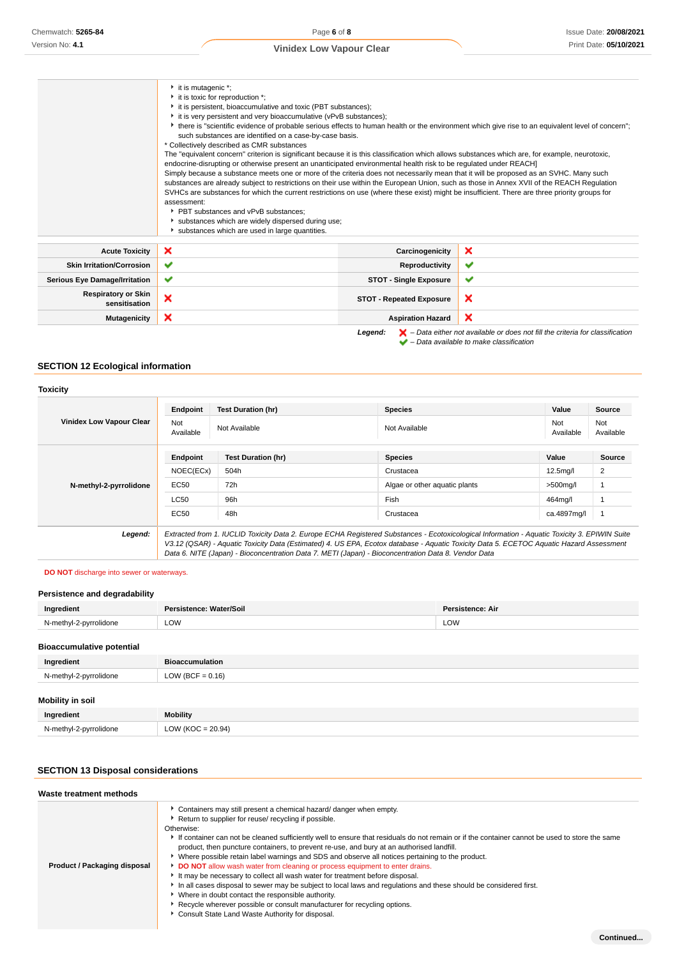|                                             | $\cdot$ it is mutagenic $\cdot$ ;<br>it is toxic for reproduction *;<br>it is persistent, bioaccumulative and toxic (PBT substances);<br>it is very persistent and very bioaccumulative (vPvB substances);<br>• there is "scientific evidence of probable serious effects to human health or the environment which give rise to an equivalent level of concern";<br>such substances are identified on a case-by-case basis.<br>* Collectively described as CMR substances<br>The "equivalent concern" criterion is significant because it is this classification which allows substances which are, for example, neurotoxic,<br>endocrine-disrupting or otherwise present an unanticipated environmental health risk to be regulated under REACH]<br>Simply because a substance meets one or more of the criteria does not necessarily mean that it will be proposed as an SVHC. Many such<br>substances are already subject to restrictions on their use within the European Union, such as those in Annex XVII of the REACH Regulation<br>SVHCs are substances for which the current restrictions on use (where these exist) might be insufficient. There are three priority groups for<br>assessment:<br>▶ PBT substances and vPvB substances:<br>substances which are widely dispersed during use; |                                 |              |
|---------------------------------------------|--------------------------------------------------------------------------------------------------------------------------------------------------------------------------------------------------------------------------------------------------------------------------------------------------------------------------------------------------------------------------------------------------------------------------------------------------------------------------------------------------------------------------------------------------------------------------------------------------------------------------------------------------------------------------------------------------------------------------------------------------------------------------------------------------------------------------------------------------------------------------------------------------------------------------------------------------------------------------------------------------------------------------------------------------------------------------------------------------------------------------------------------------------------------------------------------------------------------------------------------------------------------------------------------------------|---------------------------------|--------------|
| <b>Acute Toxicity</b>                       | ×                                                                                                                                                                                                                                                                                                                                                                                                                                                                                                                                                                                                                                                                                                                                                                                                                                                                                                                                                                                                                                                                                                                                                                                                                                                                                                      | Carcinogenicity                 | ×            |
| <b>Skin Irritation/Corrosion</b>            | ✔                                                                                                                                                                                                                                                                                                                                                                                                                                                                                                                                                                                                                                                                                                                                                                                                                                                                                                                                                                                                                                                                                                                                                                                                                                                                                                      | Reproductivity                  | $\checkmark$ |
| <b>Serious Eye Damage/Irritation</b>        | ✔                                                                                                                                                                                                                                                                                                                                                                                                                                                                                                                                                                                                                                                                                                                                                                                                                                                                                                                                                                                                                                                                                                                                                                                                                                                                                                      | <b>STOT - Single Exposure</b>   | ✔            |
| <b>Respiratory or Skin</b><br>sensitisation | ×                                                                                                                                                                                                                                                                                                                                                                                                                                                                                                                                                                                                                                                                                                                                                                                                                                                                                                                                                                                                                                                                                                                                                                                                                                                                                                      | <b>STOT - Repeated Exposure</b> | ×            |
| <b>Mutagenicity</b>                         | ×                                                                                                                                                                                                                                                                                                                                                                                                                                                                                                                                                                                                                                                                                                                                                                                                                                                                                                                                                                                                                                                                                                                                                                                                                                                                                                      | <b>Aspiration Hazard</b>        | ×            |

Legend:  $\blacktriangleright$  – Data either not available or does not fill the criteria for classification

– Data available to make classification

### **SECTION 12 Ecological information**

|                                 | Endpoint         | <b>Test Duration (hr)</b> | <b>Species</b>                                                                                                                                                                                                                                                                           | Value            | <b>Source</b>    |
|---------------------------------|------------------|---------------------------|------------------------------------------------------------------------------------------------------------------------------------------------------------------------------------------------------------------------------------------------------------------------------------------|------------------|------------------|
| <b>Vinidex Low Vapour Clear</b> | Not<br>Available | Not Available             | Not Available                                                                                                                                                                                                                                                                            | Not<br>Available | Not<br>Available |
| N-methyl-2-pyrrolidone          | Endpoint         | <b>Test Duration (hr)</b> | <b>Species</b>                                                                                                                                                                                                                                                                           | Value            | <b>Source</b>    |
|                                 | NOEC(ECx)        | 504h                      | Crustacea                                                                                                                                                                                                                                                                                | $12.5$ mg/l      | 2                |
|                                 | EC50             | 72h                       | Algae or other aguatic plants                                                                                                                                                                                                                                                            | $>500$ mg/l      |                  |
|                                 | <b>LC50</b>      | 96h                       | Fish                                                                                                                                                                                                                                                                                     | 464mg/l          |                  |
|                                 | <b>EC50</b>      | 48h                       | Crustacea                                                                                                                                                                                                                                                                                | ca.4897mg/l      |                  |
| Legend:                         |                  |                           | Extracted from 1. IUCLID Toxicity Data 2. Europe ECHA Registered Substances - Ecotoxicological Information - Aquatic Toxicity 3. EPIWIN Suite<br>V3.12 (QSAR) - Aquatic Toxicity Data (Estimated) 4. US EPA, Ecotox database - Aquatic Toxicity Data 5. ECETOC Aquatic Hazard Assessment |                  |                  |

Data 6. NITE (Japan) - Bioconcentration Data 7. METI (Japan) - Bioconcentration Data 8. Vendor Data

### **DO NOT** discharge into sewer or waterways.

### **Persistence and degradability**

| Ingredient                       | Persistence: Water/Soil | Persistence: Air |
|----------------------------------|-------------------------|------------------|
| N-methyl-2-pyrrolidone           | LOW                     | LOW              |
| <b>Bioaccumulative potential</b> |                         |                  |
| Ingredient                       | <b>Bioaccumulation</b>  |                  |
| N-methyl-2-pyrrolidone           | LOW (BCF = $0.16$ )     |                  |

### **Mobility in soil**

| Inaredient             | <b>Mobility</b>                                       |
|------------------------|-------------------------------------------------------|
| N-methyl-2-pyrrolidone | 150<br><b>LOW</b><br>20.94<br>$\sim$<br>$\sim$ $\sim$ |

### **SECTION 13 Disposal considerations**

#### **Waste treatment methods**

| Product / Packaging disposal | • Containers may still present a chemical hazard/ danger when empty.<br>Return to supplier for reuse/ recycling if possible.<br>Otherwise:<br>If container can not be cleaned sufficiently well to ensure that residuals do not remain or if the container cannot be used to store the same<br>product, then puncture containers, to prevent re-use, and bury at an authorised landfill.<br>▶ Where possible retain label warnings and SDS and observe all notices pertaining to the product.<br>DO NOT allow wash water from cleaning or process equipment to enter drains.<br>It may be necessary to collect all wash water for treatment before disposal.<br>In all cases disposal to sewer may be subject to local laws and regulations and these should be considered first.<br>Where in doubt contact the responsible authority.<br>Recycle wherever possible or consult manufacturer for recycling options.<br>Consult State Land Waste Authority for disposal. |
|------------------------------|------------------------------------------------------------------------------------------------------------------------------------------------------------------------------------------------------------------------------------------------------------------------------------------------------------------------------------------------------------------------------------------------------------------------------------------------------------------------------------------------------------------------------------------------------------------------------------------------------------------------------------------------------------------------------------------------------------------------------------------------------------------------------------------------------------------------------------------------------------------------------------------------------------------------------------------------------------------------|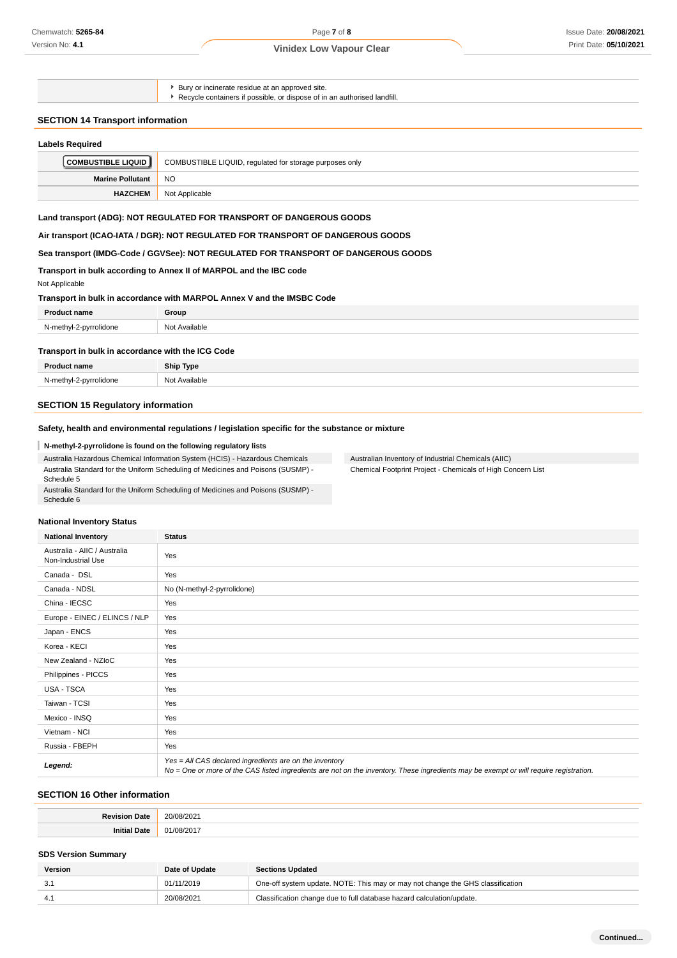$\blacktriangleright$  Bury or incinerate residue at an approved site.

► Recycle containers if possible, or dispose of in an authorised landfill.

### **SECTION 14 Transport information**

| <b>Labels Required</b>    |                                                         |
|---------------------------|---------------------------------------------------------|
| <b>COMBUSTIBLE LIQUID</b> | COMBUSTIBLE LIQUID, regulated for storage purposes only |
| <b>Marine Pollutant</b>   | <b>NO</b>                                               |
| <b>HAZCHEM</b>            | Not Applicable                                          |

### **Land transport (ADG): NOT REGULATED FOR TRANSPORT OF DANGEROUS GOODS**

**Air transport (ICAO-IATA / DGR): NOT REGULATED FOR TRANSPORT OF DANGEROUS GOODS**

### **Sea transport (IMDG-Code / GGVSee): NOT REGULATED FOR TRANSPORT OF DANGEROUS GOODS**

#### **Transport in bulk according to Annex II of MARPOL and the IBC code**

Not Applicable

### **Transport in bulk in accordance with MARPOL Annex V and the IMSBC Code**

| Dro-                        | Group                            |
|-----------------------------|----------------------------------|
| $N$ -mathyl-2<br>idone<br>. | NM<br><sup>^</sup> vailable<br>. |
|                             |                                  |

#### **Transport in bulk in accordance with the ICG Code**

| Product name                | <b>Ship Type</b> |
|-----------------------------|------------------|
| N-methyl-2-pyrrolidone<br>. | Not Available    |

### **SECTION 15 Regulatory information**

### **Safety, health and environmental regulations / legislation specific for the substance or mixture**

### **N-methyl-2-pyrrolidone is found on the following regulatory lists**

Australia Hazardous Chemical Information System (HCIS) - Hazardous Chemicals Australia Standard for the Uniform Scheduling of Medicines and Poisons (SUSMP) - Schedule 5 Australia Standard for the Uniform Scheduling of Medicines and Poisons (SUSMP) - Australian Inventory of Industrial Chemicals (AIIC) Chemical Footprint Project - Chemicals of High Concern List

#### **National Inventory Status**

Schedule 6

| <b>National Inventory</b>                          | <b>Status</b>                                                                                                                                                                                     |
|----------------------------------------------------|---------------------------------------------------------------------------------------------------------------------------------------------------------------------------------------------------|
| Australia - AIIC / Australia<br>Non-Industrial Use | Yes                                                                                                                                                                                               |
| Canada - DSL                                       | Yes                                                                                                                                                                                               |
| Canada - NDSL                                      | No (N-methyl-2-pyrrolidone)                                                                                                                                                                       |
| China - IECSC                                      | Yes                                                                                                                                                                                               |
| Europe - EINEC / ELINCS / NLP                      | Yes                                                                                                                                                                                               |
| Japan - ENCS                                       | Yes                                                                                                                                                                                               |
| Korea - KECI                                       | Yes                                                                                                                                                                                               |
| New Zealand - NZIoC                                | Yes                                                                                                                                                                                               |
| Philippines - PICCS                                | Yes                                                                                                                                                                                               |
| USA - TSCA                                         | Yes                                                                                                                                                                                               |
| Taiwan - TCSI                                      | Yes                                                                                                                                                                                               |
| Mexico - INSQ                                      | Yes                                                                                                                                                                                               |
| Vietnam - NCI                                      | Yes                                                                                                                                                                                               |
| Russia - FBEPH                                     | Yes                                                                                                                                                                                               |
| Legend:                                            | Yes = All CAS declared ingredients are on the inventory<br>No = One or more of the CAS listed ingredients are not on the inventory. These ingredients may be exempt or will require registration. |

### **SECTION 16 Other information**

### **SDS Version Summary**

| Version | Date of Update | <b>Sections Updated</b>                                                        |
|---------|----------------|--------------------------------------------------------------------------------|
|         | 01/11/2019     | One-off system update. NOTE: This may or may not change the GHS classification |
|         | 20/08/2021     | Classification change due to full database hazard calculation/update.          |